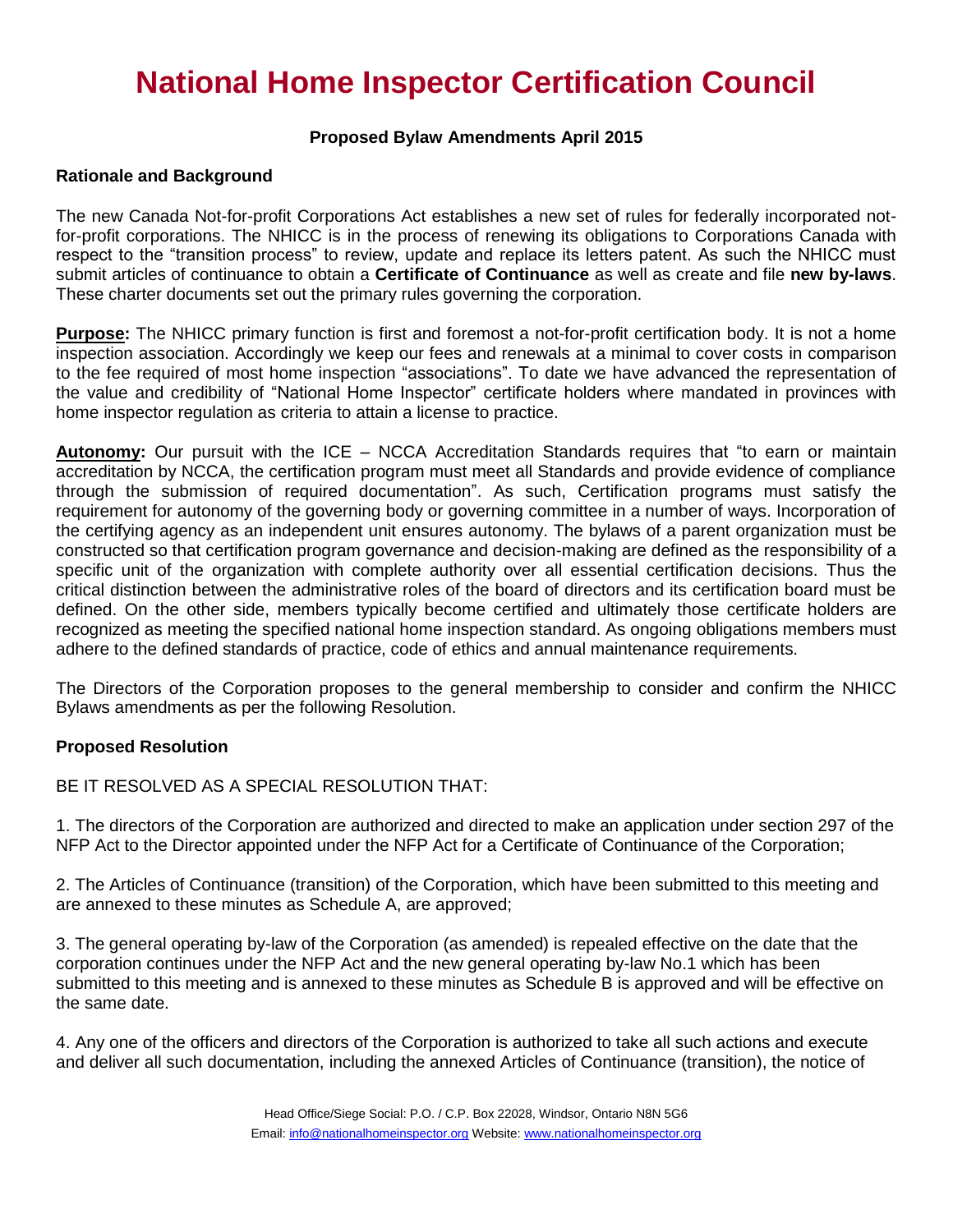## **National Home Inspector Certification Council**

### **Proposed Bylaw Amendments April 2015**

#### **Rationale and Background**

The new Canada Not-for-profit Corporations Act establishes a new set of rules for federally incorporated notfor-profit corporations. The NHICC is in the process of renewing its obligations to Corporations Canada with respect to the "transition process" to review, update and replace its letters patent. As such the NHICC must submit articles of continuance to obtain a **Certificate of Continuance** as well as create and file **new by-laws**. These charter documents set out the primary rules governing the corporation.

**Purpose:** The NHICC primary function is first and foremost a not-for-profit certification body. It is not a home inspection association. Accordingly we keep our fees and renewals at a minimal to cover costs in comparison to the fee required of most home inspection "associations". To date we have advanced the representation of the value and credibility of "National Home Inspector" certificate holders where mandated in provinces with home inspector regulation as criteria to attain a license to practice.

**Autonomy:** Our pursuit with the ICE – NCCA Accreditation Standards requires that "to earn or maintain accreditation by NCCA, the certification program must meet all Standards and provide evidence of compliance through the submission of required documentation". As such, Certification programs must satisfy the requirement for autonomy of the governing body or governing committee in a number of ways. Incorporation of the certifying agency as an independent unit ensures autonomy. The bylaws of a parent organization must be constructed so that certification program governance and decision-making are defined as the responsibility of a specific unit of the organization with complete authority over all essential certification decisions. Thus the critical distinction between the administrative roles of the board of directors and its certification board must be defined. On the other side, members typically become certified and ultimately those certificate holders are recognized as meeting the specified national home inspection standard. As ongoing obligations members must adhere to the defined standards of practice, code of ethics and annual maintenance requirements.

The Directors of the Corporation proposes to the general membership to consider and confirm the NHICC Bylaws amendments as per the following Resolution.

#### **Proposed Resolution**

BE IT RESOLVED AS A SPECIAL RESOLUTION THAT:

1. The directors of the Corporation are authorized and directed to make an application under section 297 of the NFP Act to the Director appointed under the NFP Act for a Certificate of Continuance of the Corporation;

2. The Articles of Continuance (transition) of the Corporation, which have been submitted to this meeting and are annexed to these minutes as Schedule A, are approved;

3. The general operating by-law of the Corporation (as amended) is repealed effective on the date that the corporation continues under the NFP Act and the new general operating by-law No.1 which has been submitted to this meeting and is annexed to these minutes as Schedule B is approved and will be effective on the same date.

4. Any one of the officers and directors of the Corporation is authorized to take all such actions and execute and deliver all such documentation, including the annexed Articles of Continuance (transition), the notice of